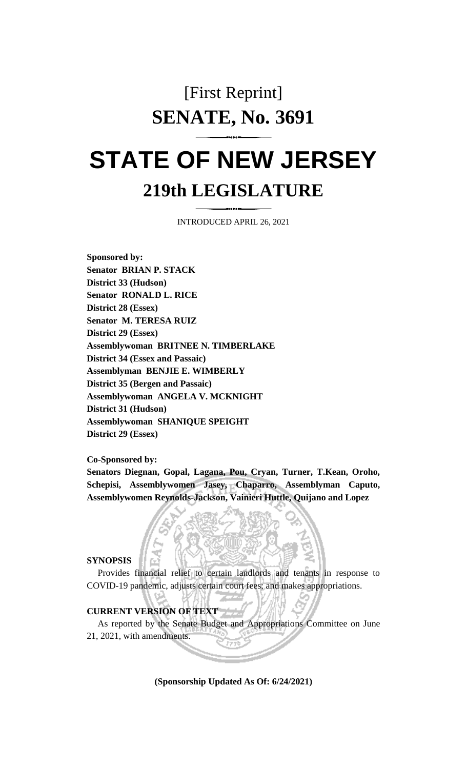## [First Reprint] **SENATE, No. 3691**

# **STATE OF NEW JERSEY 219th LEGISLATURE**

INTRODUCED APRIL 26, 2021

**Sponsored by: Senator BRIAN P. STACK District 33 (Hudson) Senator RONALD L. RICE District 28 (Essex) Senator M. TERESA RUIZ District 29 (Essex) Assemblywoman BRITNEE N. TIMBERLAKE District 34 (Essex and Passaic) Assemblyman BENJIE E. WIMBERLY District 35 (Bergen and Passaic) Assemblywoman ANGELA V. MCKNIGHT District 31 (Hudson) Assemblywoman SHANIQUE SPEIGHT District 29 (Essex)**

**Co-Sponsored by:**

**Senators Diegnan, Gopal, Lagana, Pou, Cryan, Turner, T.Kean, Oroho, Schepisi, Assemblywomen Jasey, Chaparro, Assemblyman Caputo, Assemblywomen Reynolds-Jackson, Vainieri Huttle, Quijano and Lopez**

**SYNOPSIS**

Provides financial relief to certain landlords and tenants in response to COVID-19 pandemic, adjusts certain court fees; and makes appropriations.

#### **CURRENT VERSION OF TEXT**

As reported by the Senate Budget and Appropriations Committee on June 21, 2021, with amendments.

**(Sponsorship Updated As Of: 6/24/2021)**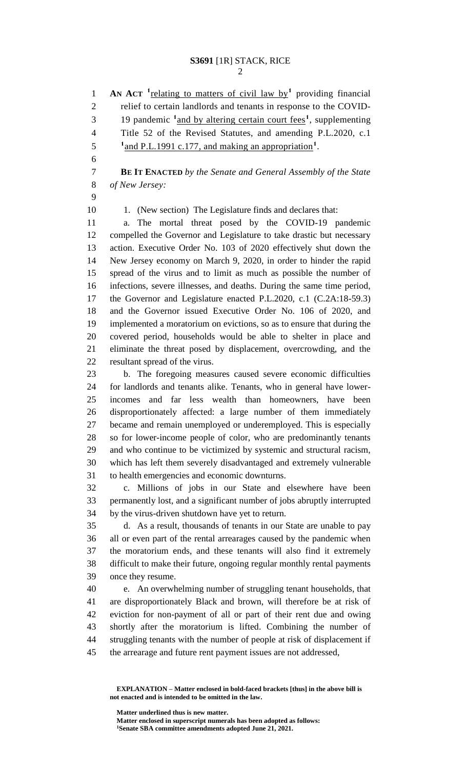**AN ACT** <sup>1</sup>**relating to matters of civil law by<sup>1</sup> providing financial**  relief to certain landlords and tenants in response to the COVID-19 pandemic <sup>1</sup> and by altering certain court fees<sup>1</sup>, supplementing Title 52 of the Revised Statutes, and amending P.L.2020, c.1 <sup>1</sup> and P.L.1991 c.177, and making an appropriation<sup>1</sup>. **BE IT ENACTED** *by the Senate and General Assembly of the State of New Jersey:* 10 1. (New section) The Legislature finds and declares that: a. The mortal threat posed by the COVID-19 pandemic compelled the Governor and Legislature to take drastic but necessary action. Executive Order No. 103 of 2020 effectively shut down the New Jersey economy on March 9, 2020, in order to hinder the rapid spread of the virus and to limit as much as possible the number of infections, severe illnesses, and deaths. During the same time period, the Governor and Legislature enacted P.L.2020, c.1 (C.2A:18-59.3) and the Governor issued Executive Order No. 106 of 2020, and implemented a moratorium on evictions, so as to ensure that during the

 covered period, households would be able to shelter in place and eliminate the threat posed by displacement, overcrowding, and the resultant spread of the virus.

 b. The foregoing measures caused severe economic difficulties for landlords and tenants alike. Tenants, who in general have lower- incomes and far less wealth than homeowners, have been disproportionately affected: a large number of them immediately became and remain unemployed or underemployed. This is especially so for lower-income people of color, who are predominantly tenants and who continue to be victimized by systemic and structural racism, which has left them severely disadvantaged and extremely vulnerable to health emergencies and economic downturns.

 c. Millions of jobs in our State and elsewhere have been permanently lost, and a significant number of jobs abruptly interrupted by the virus-driven shutdown have yet to return.

 d. As a result, thousands of tenants in our State are unable to pay all or even part of the rental arrearages caused by the pandemic when the moratorium ends, and these tenants will also find it extremely difficult to make their future, ongoing regular monthly rental payments once they resume.

 e. An overwhelming number of struggling tenant households, that are disproportionately Black and brown, will therefore be at risk of eviction for non-payment of all or part of their rent due and owing shortly after the moratorium is lifted. Combining the number of struggling tenants with the number of people at risk of displacement if the arrearage and future rent payment issues are not addressed,

**Matter underlined thus is new matter.**

**EXPLANATION – Matter enclosed in bold-faced brackets [thus] in the above bill is not enacted and is intended to be omitted in the law.**

**Matter enclosed in superscript numerals has been adopted as follows: Senate SBA committee amendments adopted June 21, 2021.**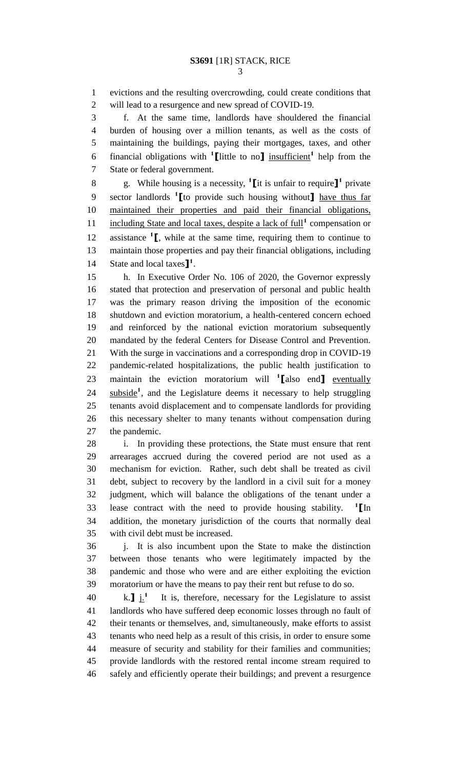evictions and the resulting overcrowding, could create conditions that will lead to a resurgence and new spread of COVID-19.

 f. At the same time, landlords have shouldered the financial burden of housing over a million tenants, as well as the costs of maintaining the buildings, paying their mortgages, taxes, and other 6 financial obligations with  $\text{1}$  [little to no<sub>1</sub>] insufficient<sup>1</sup> help from the State or federal government.

8 g. While housing is a necessity,  $\textbf{1}$  [it is unfair to require  $\textbf{1}$ <sup>1</sup> private sector landlords **<sup>1</sup> [**to provide such housing without**]** have thus far maintained their properties and paid their financial obligations, 11 including State and local taxes, despite a lack of full<sup>1</sup> compensation or 12 **assistance**  $\mathbf{1}$ , while at the same time, requiring them to continue to maintain those properties and pay their financial obligations, including State and local taxes**] 1** .

 h. In Executive Order No. 106 of 2020, the Governor expressly stated that protection and preservation of personal and public health was the primary reason driving the imposition of the economic shutdown and eviction moratorium, a health-centered concern echoed and reinforced by the national eviction moratorium subsequently mandated by the federal Centers for Disease Control and Prevention. With the surge in vaccinations and a corresponding drop in COVID-19 pandemic-related hospitalizations, the public health justification to 23 maintain the eviction moratorium will <sup>1</sup>[also end] eventually 24 subside<sup>1</sup>, and the Legislature deems it necessary to help struggling tenants avoid displacement and to compensate landlords for providing this necessary shelter to many tenants without compensation during the pandemic.

 i. In providing these protections, the State must ensure that rent arrearages accrued during the covered period are not used as a mechanism for eviction. Rather, such debt shall be treated as civil debt, subject to recovery by the landlord in a civil suit for a money judgment, which will balance the obligations of the tenant under a lease contract with the need to provide housing stability. **<sup>1</sup> [**In addition, the monetary jurisdiction of the courts that normally deal with civil debt must be increased.

 j. It is also incumbent upon the State to make the distinction between those tenants who were legitimately impacted by the pandemic and those who were and are either exploiting the eviction moratorium or have the means to pay their rent but refuse to do so.

 $k.\mathbf{J}$  i.<sup>1</sup>  $\ldots$  It is, therefore, necessary for the Legislature to assist landlords who have suffered deep economic losses through no fault of their tenants or themselves, and, simultaneously, make efforts to assist tenants who need help as a result of this crisis, in order to ensure some measure of security and stability for their families and communities; provide landlords with the restored rental income stream required to safely and efficiently operate their buildings; and prevent a resurgence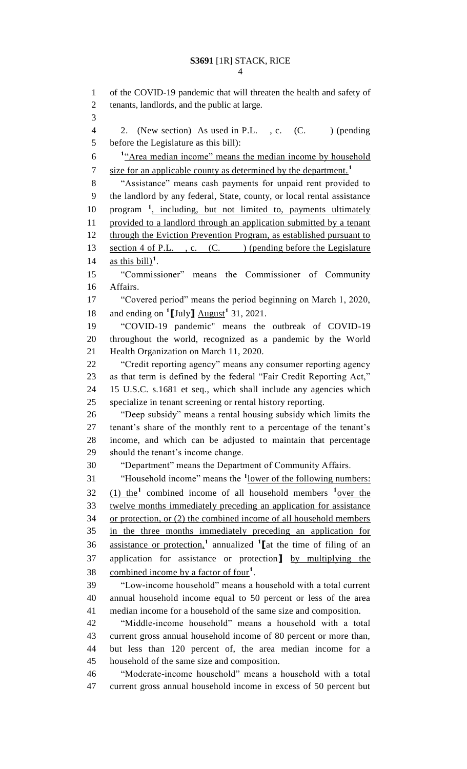of the COVID-19 pandemic that will threaten the health and safety of tenants, landlords, and the public at large. 4 2. (New section) As used in P.L., c. (C. ) (pending before the Legislature as this bill): 6 <sup>1</sup> <u>Area median income" means the median income by household</u> size for an applicable county as determined by the department.**<sup>1</sup>** "Assistance" means cash payments for unpaid rent provided to the landlord by any federal, State, county, or local rental assistance 10 program <sup>1</sup>, including, but not limited to, payments ultimately provided to a landlord through an application submitted by a tenant 12 through the Eviction Prevention Program, as established pursuant to 13 section 4 of P.L., c. (C. ) (pending before the Legislature 14 as this bill)<sup>1</sup>. "Commissioner" means the Commissioner of Community Affairs. "Covered period" means the period beginning on March 1, 2020, 18 and ending on  $\text{1}$ [July]  $\frac{\text{August}}{1}$  31, 2021. "COVID-19 pandemic" means the outbreak of COVID-19 throughout the world, recognized as a pandemic by the World Health Organization on March 11, 2020. "Credit reporting agency" means any consumer reporting agency as that term is defined by the federal "Fair Credit Reporting Act," 15 U.S.C. s.1681 et seq., which shall include any agencies which specialize in tenant screening or rental history reporting. "Deep subsidy" means a rental housing subsidy which limits the tenant's share of the monthly rent to a percentage of the tenant's income, and which can be adjusted to maintain that percentage should the tenant's income change. "Department" means the Department of Community Affairs. 31 "Household income" means the <sup>1</sup>lower of the following numbers:  $(1)$  the<sup>1</sup> combined income of all household members  $\frac{1}{2}$  over the twelve months immediately preceding an application for assistance or protection, or (2) the combined income of all household members in the three months immediately preceding an application for assistance or protection,**<sup>1</sup>** annualized **<sup>1</sup> [**at the time of filing of an application for assistance or protection**]** by multiplying the combined income by a factor of four**<sup>1</sup>** . "Low-income household" means a household with a total current annual household income equal to 50 percent or less of the area median income for a household of the same size and composition. "Middle-income household" means a household with a total current gross annual household income of 80 percent or more than, but less than 120 percent of, the area median income for a household of the same size and composition. "Moderate-income household" means a household with a total current gross annual household income in excess of 50 percent but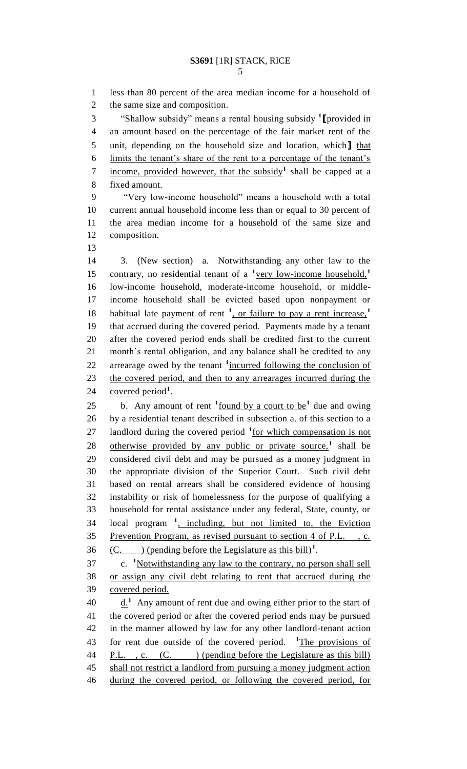less than 80 percent of the area median income for a household of the same size and composition. "Shallow subsidy" means a rental housing subsidy **<sup>1</sup> [**provided in an amount based on the percentage of the fair market rent of the unit, depending on the household size and location, which**]** that limits the tenant's share of the rent to a percentage of the tenant's income, provided however, that the subsidy**<sup>1</sup>** shall be capped at a fixed amount. "Very low-income household" means a household with a total current annual household income less than or equal to 30 percent of the area median income for a household of the same size and composition. 3. (New section) a. Notwithstanding any other law to the contrary, no residential tenant of a <sup>1</sup>very low-income household,<sup>1</sup> low-income household, moderate-income household, or middle- income household shall be evicted based upon nonpayment or habitual late payment of rent <sup>1</sup>, or failure to pay a rent increase,<sup>1</sup> that accrued during the covered period. Payments made by a tenant after the covered period ends shall be credited first to the current month's rental obligation, and any balance shall be credited to any 22 arrearage owed by the tenant <sup>1</sup> incurred following the conclusion of the covered period, and then to any arrearages incurred during the 24 covered period<sup>1</sup>. 25 b. Any amount of rent  $\frac{1}{2}$  found by a court to be<sup>1</sup> due and owing by a residential tenant described in subsection a. of this section to a 27 landlord during the covered period <sup>1</sup> for which compensation is not 28 otherwise provided by any public or private source,<sup>1</sup> shall be considered civil debt and may be pursued as a money judgment in the appropriate division of the Superior Court. Such civil debt based on rental arrears shall be considered evidence of housing instability or risk of homelessness for the purpose of qualifying a household for rental assistance under any federal, State, county, or 34 local program <sup>1</sup>, including, but not limited to, the Eviction Prevention Program, as revised pursuant to section 4 of P.L. , c.  $(C.$  (pending before the Legislature as this bill)<sup>1</sup>. 37 c. <sup>1</sup>Notwithstanding any law to the contrary, no person shall sell or assign any civil debt relating to rent that accrued during the covered period.  $\underline{\mathbf{d}}$ .<sup>1</sup> Any amount of rent due and owing either prior to the start of the covered period or after the covered period ends may be pursued

 in the manner allowed by law for any other landlord-tenant action 43 for rent due outside of the covered period. <sup>1</sup>The provisions of 44 P.L., c. (C. ) (pending before the Legislature as this bill) 45 shall not restrict a landlord from pursuing a money judgment action during the covered period, or following the covered period, for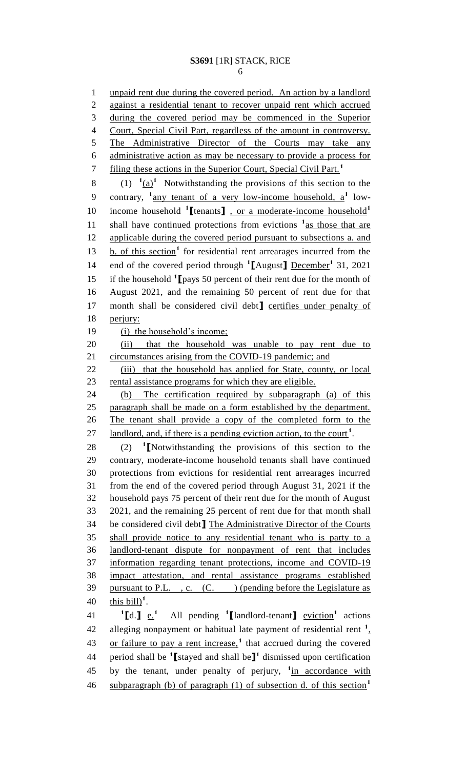6

1 unpaid rent due during the covered period. An action by a landlord 2 against a residential tenant to recover unpaid rent which accrued 3 during the covered period may be commenced in the Superior 4 Court, Special Civil Part, regardless of the amount in controversy. 5 The Administrative Director of the Courts may take any 6 administrative action as may be necessary to provide a process for filing these actions in the Superior Court, Special Civil Part.**<sup>1</sup>** 7 8 (1)  $(1)$   $(1)(a)^1$  Notwithstanding the provisions of this section to the 9 contrary, <sup>1</sup> any tenant of a very low-income household, a<sup>1</sup> lowincome household **<sup>1</sup> [**tenants**]** , or a moderate-income household**<sup>1</sup>** 10 11 shall have continued protections from evictions <sup>1</sup> as those that are 12 applicable during the covered period pursuant to subsections a. and 13 b. of this section<sup>1</sup> for residential rent arrearages incurred from the end of the covered period through **<sup>1</sup> [**August**]** December**<sup>1</sup>** 14 31, 2021 15 if the household <sup>1</sup> [pays 50 percent of their rent due for the month of 16 August 2021, and the remaining 50 percent of rent due for that 17 month shall be considered civil debt] certifies under penalty of 18 perjury: 19 (i) the household's income; 20 (ii) that the household was unable to pay rent due to 21 circumstances arising from the COVID-19 pandemic; and 22 (iii) that the household has applied for State, county, or local 23 rental assistance programs for which they are eligible. 24 (b) The certification required by subparagraph (a) of this 25 paragraph shall be made on a form established by the department. 26 The tenant shall provide a copy of the completed form to the 27 landlord, and, if there is a pending eviction action, to the court<sup>1</sup>.  $(2)$ 28 (2) <sup>1</sup> [Notwithstanding the provisions of this section to the 29 contrary, moderate-income household tenants shall have continued 30 protections from evictions for residential rent arrearages incurred 31 from the end of the covered period through August 31, 2021 if the 32 household pays 75 percent of their rent due for the month of August 33 2021, and the remaining 25 percent of rent due for that month shall 34 be considered civil debt**]** The Administrative Director of the Courts 35 shall provide notice to any residential tenant who is party to a 36 landlord-tenant dispute for nonpayment of rent that includes 37 information regarding tenant protections, income and COVID-19 38 impact attestation, and rental assistance programs established 39 pursuant to P.L., c. (C.) (pending before the Legislature as 40  $\frac{\text{this bill}}{\text{this bill}}$ <sup>1</sup>.  $^{1}$ [d.]  $_{e.}^{1}$ 41 **1 1d**.**]**  $\underline{e}$ **.**<sup>1</sup> All pending **1 [**landlord-tenant**]** <u>eviction</u><sup>1</sup> actions 42 alleging nonpayment or habitual late payment of residential rent <sup>1</sup> 43 or failure to pay a rent increase,<sup>1</sup> that accrued during the covered period shall be **<sup>1</sup> [**stayed and shall be**] 1** 44 dismissed upon certification 45 by the tenant, under penalty of perjury, <sup>1</sup>in accordance with subparagraph (b) of paragraph (1) of subsection d. of this section**<sup>1</sup>** 46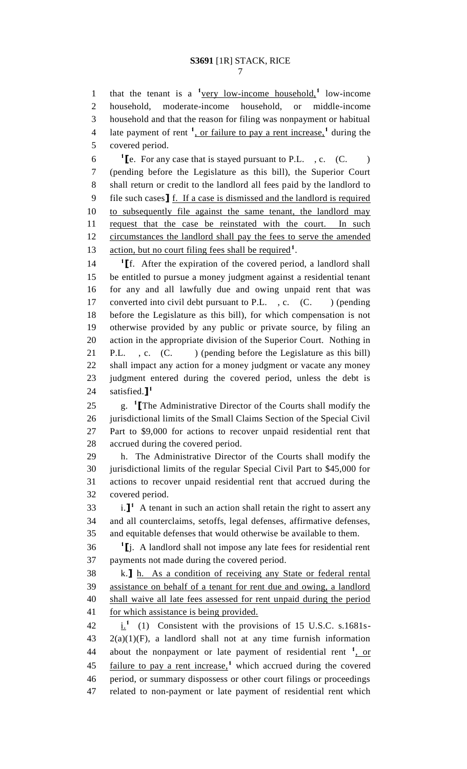1 that the tenant is a <sup>1</sup>very low-income household,<sup>1</sup> low-income household, moderate-income household, or middle-income household and that the reason for filing was nonpayment or habitual late payment of rent **<sup>1</sup>** , or failure to pay a rent increase,**<sup>1</sup>** during the covered period.

 **[e.** For any case that is stayed pursuant to P.L. , c.  $(C.$  ) (pending before the Legislature as this bill), the Superior Court shall return or credit to the landlord all fees paid by the landlord to file such cases**]** f. If a case is dismissed and the landlord is required to subsequently file against the same tenant, the landlord may request that the case be reinstated with the court. In such 12 circumstances the landlord shall pay the fees to serve the amended 13 action, but no court filing fees shall be required<sup>1</sup>.

 **[**f. After the expiration of the covered period, a landlord shall be entitled to pursue a money judgment against a residential tenant for any and all lawfully due and owing unpaid rent that was 17 converted into civil debt pursuant to P.L., c. (C.) (pending before the Legislature as this bill), for which compensation is not otherwise provided by any public or private source, by filing an action in the appropriate division of the Superior Court. Nothing in 21 P.L., c. (C.) (pending before the Legislature as this bill) shall impact any action for a money judgment or vacate any money judgment entered during the covered period, unless the debt is satisfied.**] 1** 

g. **<sup>1</sup> [**The Administrative Director of the Courts shall modify the jurisdictional limits of the Small Claims Section of the Special Civil Part to \$9,000 for actions to recover unpaid residential rent that accrued during the covered period.

 h. The Administrative Director of the Courts shall modify the jurisdictional limits of the regular Special Civil Part to \$45,000 for actions to recover unpaid residential rent that accrued during the covered period.

 i.<sup>1</sup> A tenant in such an action shall retain the right to assert any and all counterclaims, setoffs, legal defenses, affirmative defenses, and equitable defenses that would otherwise be available to them.

**1 [**j. A landlord shall not impose any late fees for residential rent payments not made during the covered period.

 k.**]** h. As a condition of receiving any State or federal rental assistance on behalf of a tenant for rent due and owing, a landlord shall waive all late fees assessed for rent unpaid during the period 41 for which assistance is being provided.

 $\frac{1}{2}$  (1) Consistent with the provisions of 15 U.S.C. s.1681s- 2(a)(1)(F), a landlord shall not at any time furnish information 44 about the nonpayment or late payment of residential rent <sup>1</sup>, or 45 failure to pay a rent increase,<sup>1</sup> which accrued during the covered period, or summary dispossess or other court filings or proceedings related to non-payment or late payment of residential rent which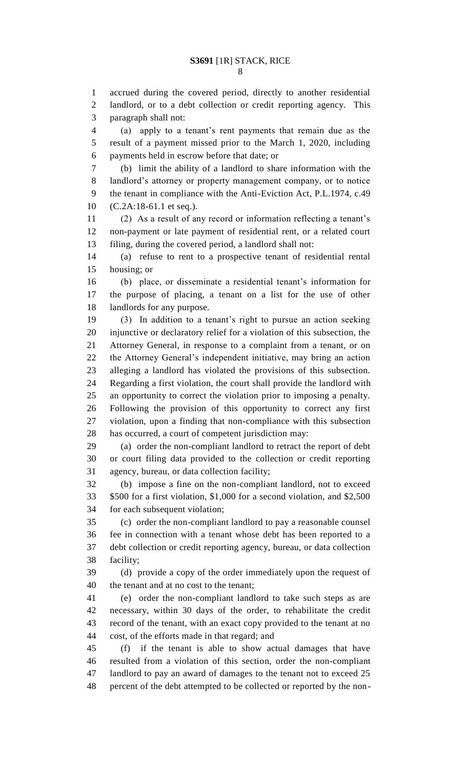accrued during the covered period, directly to another residential landlord, or to a debt collection or credit reporting agency. This paragraph shall not:

 (a) apply to a tenant's rent payments that remain due as the result of a payment missed prior to the March 1, 2020, including payments held in escrow before that date; or

 (b) limit the ability of a landlord to share information with the landlord's attorney or property management company, or to notice the tenant in compliance with the Anti-Eviction Act, P.L.1974, c.49 (C.2A:18-61.1 et seq.).

 (2) As a result of any record or information reflecting a tenant's non-payment or late payment of residential rent, or a related court filing, during the covered period, a landlord shall not:

 (a) refuse to rent to a prospective tenant of residential rental housing; or

 (b) place, or disseminate a residential tenant's information for the purpose of placing, a tenant on a list for the use of other landlords for any purpose.

 (3) In addition to a tenant's right to pursue an action seeking injunctive or declaratory relief for a violation of this subsection, the Attorney General, in response to a complaint from a tenant, or on the Attorney General's independent initiative, may bring an action alleging a landlord has violated the provisions of this subsection. Regarding a first violation, the court shall provide the landlord with an opportunity to correct the violation prior to imposing a penalty. Following the provision of this opportunity to correct any first violation, upon a finding that non-compliance with this subsection

 has occurred, a court of competent jurisdiction may: (a) order the non-compliant landlord to retract the report of debt or court filing data provided to the collection or credit reporting

agency, bureau, or data collection facility;

 (b) impose a fine on the non-compliant landlord, not to exceed \$500 for a first violation, \$1,000 for a second violation, and \$2,500 for each subsequent violation;

 (c) order the non-compliant landlord to pay a reasonable counsel fee in connection with a tenant whose debt has been reported to a debt collection or credit reporting agency, bureau, or data collection facility;

 (d) provide a copy of the order immediately upon the request of the tenant and at no cost to the tenant;

 (e) order the non-compliant landlord to take such steps as are necessary, within 30 days of the order, to rehabilitate the credit record of the tenant, with an exact copy provided to the tenant at no cost, of the efforts made in that regard; and

 (f) if the tenant is able to show actual damages that have resulted from a violation of this section, order the non-compliant landlord to pay an award of damages to the tenant not to exceed 25 percent of the debt attempted to be collected or reported by the non-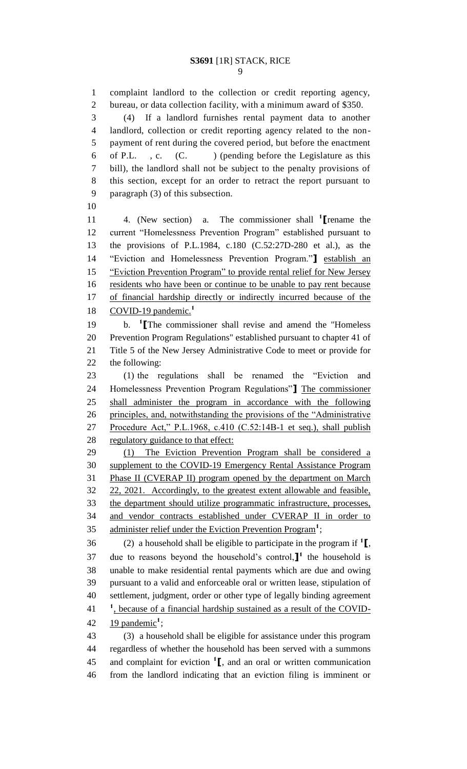complaint landlord to the collection or credit reporting agency, bureau, or data collection facility, with a minimum award of \$350. (4) If a landlord furnishes rental payment data to another landlord, collection or credit reporting agency related to the non- payment of rent during the covered period, but before the enactment 6 of P.L. , c.  $(C.$  ) (pending before the Legislature as this bill), the landlord shall not be subject to the penalty provisions of this section, except for an order to retract the report pursuant to paragraph (3) of this subsection. 

4. (New section) a. The commissioner shall **<sup>1</sup> [**rename the current "Homelessness Prevention Program" established pursuant to the provisions of P.L.1984, c.180 (C.52:27D-280 et al.), as the "Eviction and Homelessness Prevention Program."**]** establish an "Eviction Prevention Program" to provide rental relief for New Jersey 16 residents who have been or continue to be unable to pay rent because of financial hardship directly or indirectly incurred because of the COVID-19 pandemic.**<sup>1</sup>** 

b. **<sup>1</sup> [**The commissioner shall revise and amend the "Homeless Prevention Program Regulations" established pursuant to chapter 41 of Title 5 of the New Jersey Administrative Code to meet or provide for the following:

 (1) the regulations shall be renamed the "Eviction and Homelessness Prevention Program Regulations"**]** The commissioner shall administer the program in accordance with the following principles, and, notwithstanding the provisions of the "Administrative Procedure Act," P.L.1968, c.410 (C.52:14B-1 et seq.), shall publish 28 regulatory guidance to that effect:

 (1) The Eviction Prevention Program shall be considered a supplement to the COVID-19 Emergency Rental Assistance Program Phase II (CVERAP II) program opened by the department on March 22, 2021. Accordingly, to the greatest extent allowable and feasible, the department should utilize programmatic infrastructure, processes, and vendor contracts established under CVERAP II in order to 35 administer relief under the Eviction Prevention Program<sup>1</sup>;

 $(2)$  a household shall be eligible to participate in the program if  $\mathbf{1}$ , 37 due to reasons beyond the household's control, $\mathbf{I}^1$  the household is unable to make residential rental payments which are due and owing pursuant to a valid and enforceable oral or written lease, stipulation of settlement, judgment, order or other type of legally binding agreement <sup>1</sup>, because of a financial hardship sustained as a result of the COVID-42 19 pandemic<sup>1</sup>;

 (3) a household shall be eligible for assistance under this program regardless of whether the household has been served with a summons 45 and complaint for eviction  $\mathbf{1}$ , and an oral or written communication from the landlord indicating that an eviction filing is imminent or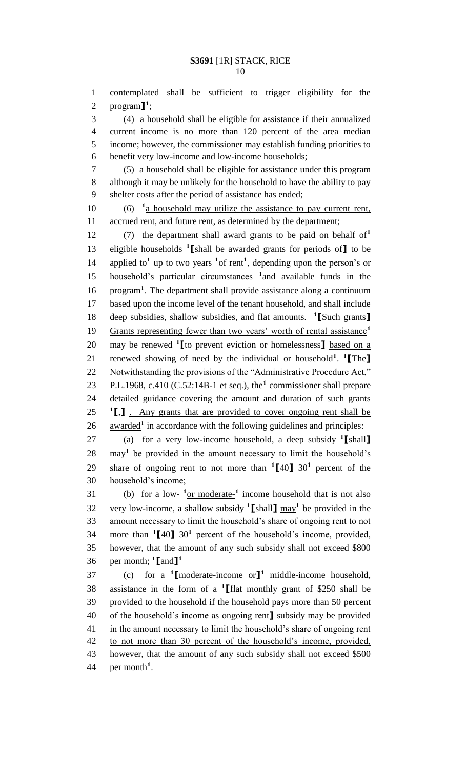1 contemplated shall be sufficient to trigger eligibility for the 2 program $\mathbf{I}^1$ ;

 (4) a household shall be eligible for assistance if their annualized current income is no more than 120 percent of the area median income; however, the commissioner may establish funding priorities to benefit very low-income and low-income households;

7 (5) a household shall be eligible for assistance under this program 8 although it may be unlikely for the household to have the ability to pay 9 shelter costs after the period of assistance has ended;

 $10 \t\t (6)$   $1a$  household may utilize the assistance to pay current rent, 11 accrued rent, and future rent, as determined by the department;

(7) the department shall award grants to be paid on behalf of**<sup>1</sup>** 12 13 eligible households <sup>1</sup> [shall be awarded grants for periods of] to be 14 applied to<sup>1</sup> up to two years  $\frac{1}{10}$  frent<sup>1</sup>, depending upon the person's or 15 household's particular circumstances <sup>1</sup> and available funds in the 16 **program<sup>1</sup>**. The department shall provide assistance along a continuum 17 based upon the income level of the tenant household, and shall include deep subsidies, shallow subsidies, and flat amounts. **<sup>1</sup>** 18 **[**Such grants**]** Grants representing fewer than two years' worth of rental assistance**<sup>1</sup>** 19 20 may be renewed <sup>1</sup> [to prevent eviction or homelessness] based on a 21 renewed showing of need by the individual or household<sup>1</sup>. <sup>1</sup>[The] 22 Notwithstanding the provisions of the "Administrative Procedure Act," 23 P.L.1968, c.410 (C.52:14B-1 et seq.), the<sup>1</sup> commissioner shall prepare 24 detailed guidance covering the amount and duration of such grants **1** 25 **[**,**]** . Any grants that are provided to cover ongoing rent shall be 26 awarded<sup>1</sup> in accordance with the following guidelines and principles:

(a) for a very low-income household, a deep subsidy **<sup>1</sup>** 27 **[**shall**]**  $28$   $\frac{may^1}{s}$  be provided in the amount necessary to limit the household's 29 share of ongoing rent to not more than  $\binom{1}{40}$   $\frac{30}{1}$  percent of the 30 household's income;

31 (b) for a low- $\frac{1}{2}$  or moderate-<sup>1</sup> income household that is not also 32 very low-income, a shallow subsidy  $\text{1}\left[\text{shall}\right]$  may<sup>1</sup> be provided in the 33 amount necessary to limit the household's share of ongoing rent to not 34 more than  $\binom{1}{40}$  30<sup>1</sup> percent of the household's income, provided, 35 however, that the amount of any such subsidy shall not exceed \$800 per month; **<sup>1</sup> [**and**] 1** 36

(c) for a **<sup>1</sup> [**moderate-income or**] 1** 37 middle-income household, assistance in the form of a **<sup>1</sup>** 38 **[**flat monthly grant of \$250 shall be 39 provided to the household if the household pays more than 50 percent 40 of the household's income as ongoing rent**]** subsidy may be provided 41 in the amount necessary to limit the household's share of ongoing rent 42 to not more than 30 percent of the household's income, provided, 43 however, that the amount of any such subsidy shall not exceed \$500 44 **per month**<sup>1</sup>.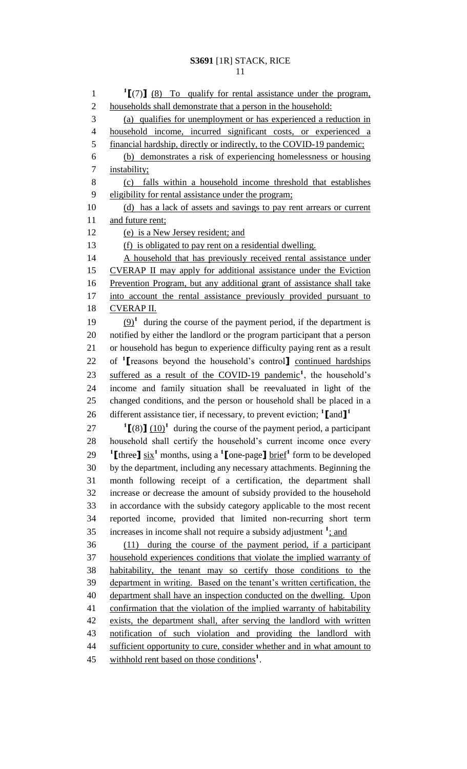**[**(7)**]** (8) To qualify for rental assistance under the program, households shall demonstrate that a person in the household: (a) qualifies for unemployment or has experienced a reduction in household income, incurred significant costs, or experienced a financial hardship, directly or indirectly, to the COVID-19 pandemic; (b) demonstrates a risk of experiencing homelessness or housing instability; (c) falls within a household income threshold that establishes eligibility for rental assistance under the program; 10 (d) has a lack of assets and savings to pay rent arrears or current and future rent; (e) is a New Jersey resident; and (f) is obligated to pay rent on a residential dwelling. 14 A household that has previously received rental assistance under CVERAP II may apply for additional assistance under the Eviction Prevention Program, but any additional grant of assistance shall take into account the rental assistance previously provided pursuant to 18 CVERAP II.  $(9)^1$  during the course of the payment period, if the department is notified by either the landlord or the program participant that a person or household has begun to experience difficulty paying rent as a result 22 of <sup>1</sup>I reasons beyond the household's control<sup>1</sup> continued hardships 23 suffered as a result of the COVID-19 pandemic<sup>1</sup>, the household's income and family situation shall be reevaluated in light of the changed conditions, and the person or household shall be placed in a different assistance tier, if necessary, to prevent eviction; **<sup>1</sup> [**and**] 1**  $\int [8]$   $(10)^1$  during the course of the payment period, a participant household shall certify the household's current income once every **i** [three  $\int \frac{\sin x}{x}$  months, using a **1** [one-page ] brief<sup>1</sup> form to be developed by the department, including any necessary attachments. Beginning the month following receipt of a certification, the department shall increase or decrease the amount of subsidy provided to the household in accordance with the subsidy category applicable to the most recent reported income, provided that limited non-recurring short term 35 increases in income shall not require a subsidy adjustment <sup>1</sup>: and (11) during the course of the payment period, if a participant household experiences conditions that violate the implied warranty of habitability, the tenant may so certify those conditions to the department in writing. Based on the tenant's written certification, the department shall have an inspection conducted on the dwelling. Upon 41 confirmation that the violation of the implied warranty of habitability exists, the department shall, after serving the landlord with written notification of such violation and providing the landlord with 44 sufficient opportunity to cure, consider whether and in what amount to withhold rent based on those conditions**<sup>1</sup>** .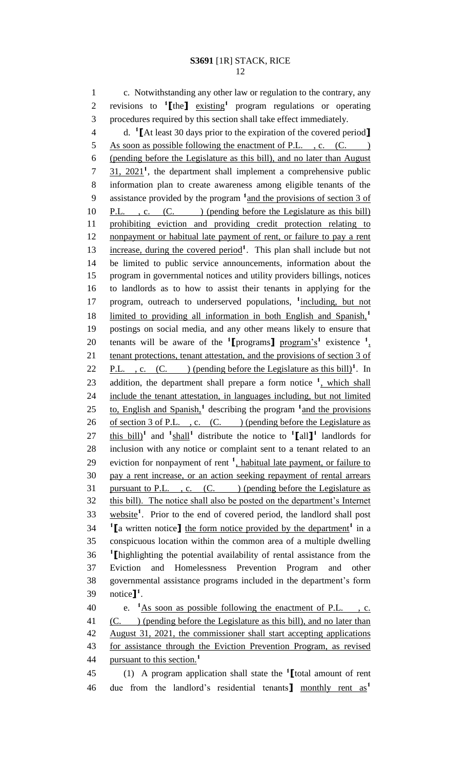1 c. Notwithstanding any other law or regulation to the contrary, any 2 revisions to <sup>1</sup>[the] existing<sup>1</sup> program regulations or operating 3 procedures required by this section shall take effect immediately.

d. **<sup>1</sup>** 4 **[**At least 30 days prior to the expiration of the covered period**]** 5 As soon as possible following the enactment of P.L., c. (C. ) 6 (pending before the Legislature as this bill), and no later than August  $\frac{31}{2021}$ , the department shall implement a comprehensive public 8 information plan to create awareness among eligible tenants of the 9 assistance provided by the program <sup>1</sup> and the provisions of section 3 of 10 P.L., c. (C. ) (pending before the Legislature as this bill) 11 prohibiting eviction and providing credit protection relating to 12 nonpayment or habitual late payment of rent, or failure to pay a rent 13 increase, during the covered period<sup>1</sup>. This plan shall include but not 14 be limited to public service announcements, information about the 15 program in governmental notices and utility providers billings, notices 16 to landlords as to how to assist their tenants in applying for the 17 program, outreach to underserved populations, <sup>1</sup>including, but not limited to providing all information in both English and Spanish,**<sup>1</sup>** 18 19 postings on social media, and any other means likely to ensure that 20 tenants will be aware of the  $\text{1}$  **[**programs] program's<sup>1</sup> existence  $\text{1}$ , 21 tenant protections, tenant attestation, and the provisions of section 3 of 22 **P.L.** , c.  $(C.$  ) (pending before the Legislature as this bill)<sup>1</sup>. In 23 addition, the department shall prepare a form notice <sup>1</sup>, which shall 24 include the tenant attestation, in languages including, but not limited 25 to, English and Spanish,<sup>1</sup> describing the program <sup>1</sup> and the provisions 26 of section 3 of P.L., c. (C.) (pending before the Legislature as 27 this bill)<sup>1</sup> and  $\frac{1 \text{ shall}}{2}$  distribute the notice to  $\frac{1}{2}$  [all ]<sup>1</sup> landlords for 28 inclusion with any notice or complaint sent to a tenant related to an 29 eviction for nonpayment of rent <sup>1</sup>, habitual late payment, or failure to 30 pay a rent increase, or an action seeking repayment of rental arrears 31 pursuant to P.L. , c.  $(C.$  ) (pending before the Legislature as 32 this bill). The notice shall also be posted on the department's Internet 33 website<sup>1</sup>. Prior to the end of covered period, the landlord shall post **1 [a** written notice**]** the form notice provided by the department<sup>1</sup> in a 35 conspicuous location within the common area of a multiple dwelling **1** 36 **[**highlighting the potential availability of rental assistance from the 37 Eviction and Homelessness Prevention Program and other 38 governmental assistance programs included in the department's form notice**] 1** 39 . 40  $\cdot$  **1** As soon as possible following the enactment of P.L.  $\cdot$  c. 41 (C. ) (pending before the Legislature as this bill), and no later than 42 August 31, 2021, the commissioner shall start accepting applications 43 for assistance through the Eviction Prevention Program, as revised

pursuant to this section.**<sup>1</sup>** 44

(1) A program application shall state the **<sup>1</sup>** 45 **[**total amount of rent due from the landlord's residential tenants**]** monthly rent as**<sup>1</sup>** 46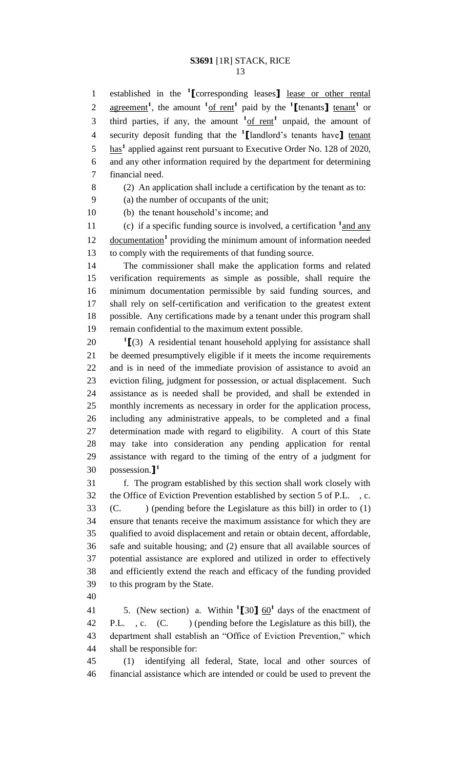established in the **<sup>1</sup> [**corresponding leases**]** lease or other rental 2 agreement<sup>1</sup>, the amount  $\frac{1 \text{ of } \text{rent}}{1}$  paid by the  $\frac{1}{2}$  tenants  $\frac{1}{2}$  tenant<sup>1</sup> or 3 third parties, if any, the amount  $\frac{1 \text{ of } \text{rent}}{1}$  unpaid, the amount of security deposit funding that the **<sup>1</sup> [**landlord's tenants have**]** tenant 5 has<sup>1</sup> applied against rent pursuant to Executive Order No. 128 of 2020, and any other information required by the department for determining financial need.

(2) An application shall include a certification by the tenant as to:

(a) the number of occupants of the unit;

(b) the tenant household's income; and

11 (c) if a specific funding source is involved, a certification <sup>1</sup> and any 12 documentation<sup>1</sup> providing the minimum amount of information needed to comply with the requirements of that funding source.

 The commissioner shall make the application forms and related verification requirements as simple as possible, shall require the minimum documentation permissible by said funding sources, and shall rely on self-certification and verification to the greatest extent possible. Any certifications made by a tenant under this program shall remain confidential to the maximum extent possible.

 **[**(3) A residential tenant household applying for assistance shall be deemed presumptively eligible if it meets the income requirements and is in need of the immediate provision of assistance to avoid an eviction filing, judgment for possession, or actual displacement. Such assistance as is needed shall be provided, and shall be extended in monthly increments as necessary in order for the application process, including any administrative appeals, to be completed and a final determination made with regard to eligibility. A court of this State may take into consideration any pending application for rental assistance with regard to the timing of the entry of a judgment for possession.**] 1** 

 f. The program established by this section shall work closely with the Office of Eviction Prevention established by section 5 of P.L. , c. (C. ) (pending before the Legislature as this bill) in order to (1) ensure that tenants receive the maximum assistance for which they are qualified to avoid displacement and retain or obtain decent, affordable, safe and suitable housing; and (2) ensure that all available sources of potential assistance are explored and utilized in order to effectively and efficiently extend the reach and efficacy of the funding provided to this program by the State.

41 5. (New section) a. Within  $\binom{1}{20}$  60<sup>1</sup> days of the enactment of 42 P.L., c. (C. ) (pending before the Legislature as this bill), the department shall establish an "Office of Eviction Prevention," which shall be responsible for:

 (1) identifying all federal, State, local and other sources of financial assistance which are intended or could be used to prevent the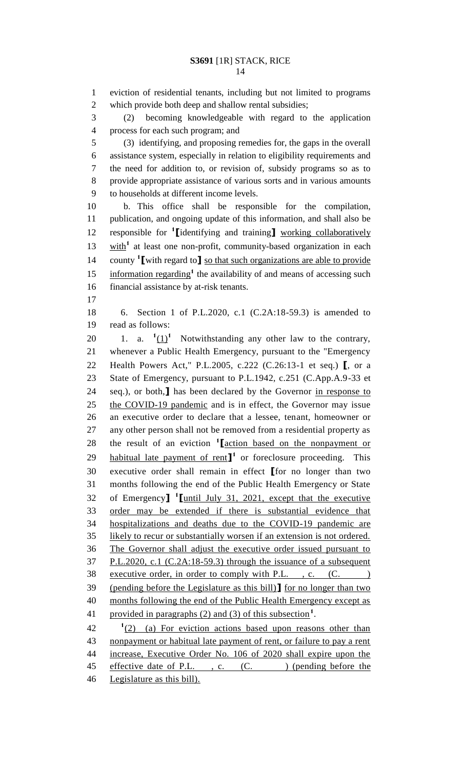eviction of residential tenants, including but not limited to programs which provide both deep and shallow rental subsidies; (2) becoming knowledgeable with regard to the application process for each such program; and (3) identifying, and proposing remedies for, the gaps in the overall assistance system, especially in relation to eligibility requirements and the need for addition to, or revision of, subsidy programs so as to provide appropriate assistance of various sorts and in various amounts to households at different income levels. b. This office shall be responsible for the compilation, publication, and ongoing update of this information, and shall also be responsible for **<sup>1</sup> [**identifying and training**]** working collaboratively 13 with<sup>1</sup> at least one non-profit, community-based organization in each 14 county <sup>1</sup> [with regard to] <u>so that such organizations are able to provide</u> 15 information regarding<sup>1</sup> the availability of and means of accessing such financial assistance by at-risk tenants. 6. Section 1 of P.L.2020, c.1 (C.2A:18-59.3) is amended to read as follows: 20 1. a.  $1\left(1\right)^1$  Notwithstanding any other law to the contrary, whenever a Public Health Emergency, pursuant to the "Emergency Health Powers Act," P.L.2005, c.222 (C.26:13-1 et seq.) **[**, or a State of Emergency, pursuant to P.L.1942, c.251 (C.App.A.9-33 et seq.), or both,**]** has been declared by the Governor in response to the COVID-19 pandemic and is in effect, the Governor may issue an executive order to declare that a lessee, tenant, homeowner or any other person shall not be removed from a residential property as 28 the result of an eviction <sup>1</sup> [action based on the nonpayment or **habitual late payment of rent<sup>1</sup>** or foreclosure proceeding. This executive order shall remain in effect **[**for no longer than two months following the end of the Public Health Emergency or State of Emergency**] 1 [**until July 31, 2021, except that the executive order may be extended if there is substantial evidence that hospitalizations and deaths due to the COVID-19 pandemic are 35 likely to recur or substantially worsen if an extension is not ordered. The Governor shall adjust the executive order issued pursuant to P.L.2020, c.1 (C.2A:18-59.3) through the issuance of a subsequent 38 executive order, in order to comply with P.L., c. (C. ) (pending before the Legislature as this bill)**]** for no longer than two 40 months following the end of the Public Health Emergency except as 41 provided in paragraphs (2) and (3) of this subsection<sup>1</sup>. (2) (a) For eviction actions based upon reasons other than nonpayment or habitual late payment of rent, or failure to pay a rent increase, Executive Order No. 106 of 2020 shall expire upon the 45 effective date of P.L., c. (C.) (pending before the

Legislature as this bill).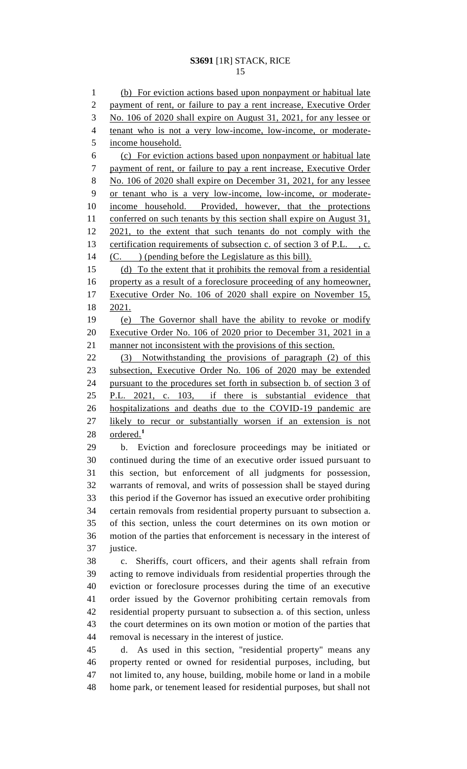(b) For eviction actions based upon nonpayment or habitual late payment of rent, or failure to pay a rent increase, Executive Order No. 106 of 2020 shall expire on August 31, 2021, for any lessee or tenant who is not a very low-income, low-income, or moderate- income household. (c) For eviction actions based upon nonpayment or habitual late payment of rent, or failure to pay a rent increase, Executive Order No. 106 of 2020 shall expire on December 31, 2021, for any lessee or tenant who is a very low-income, low-income, or moderate- income household. Provided, however, that the protections 11 conferred on such tenants by this section shall expire on August 31, 2021, to the extent that such tenants do not comply with the certification requirements of subsection c. of section 3 of P.L. , c. (C. ) (pending before the Legislature as this bill). (d) To the extent that it prohibits the removal from a residential property as a result of a foreclosure proceeding of any homeowner, Executive Order No. 106 of 2020 shall expire on November 15, 2021. (e) The Governor shall have the ability to revoke or modify Executive Order No. 106 of 2020 prior to December 31, 2021 in a manner not inconsistent with the provisions of this section. (3) Notwithstanding the provisions of paragraph (2) of this subsection, Executive Order No. 106 of 2020 may be extended pursuant to the procedures set forth in subsection b. of section 3 of P.L. 2021, c. 103, if there is substantial evidence that hospitalizations and deaths due to the COVID-19 pandemic are likely to recur or substantially worsen if an extension is not ordered.**<sup>1</sup>** b. Eviction and foreclosure proceedings may be initiated or continued during the time of an executive order issued pursuant to this section, but enforcement of all judgments for possession, warrants of removal, and writs of possession shall be stayed during this period if the Governor has issued an executive order prohibiting certain removals from residential property pursuant to subsection a. of this section, unless the court determines on its own motion or motion of the parties that enforcement is necessary in the interest of justice. c. Sheriffs, court officers, and their agents shall refrain from acting to remove individuals from residential properties through the eviction or foreclosure processes during the time of an executive order issued by the Governor prohibiting certain removals from residential property pursuant to subsection a. of this section, unless the court determines on its own motion or motion of the parties that removal is necessary in the interest of justice. d. As used in this section, "residential property" means any property rented or owned for residential purposes, including, but not limited to, any house, building, mobile home or land in a mobile home park, or tenement leased for residential purposes, but shall not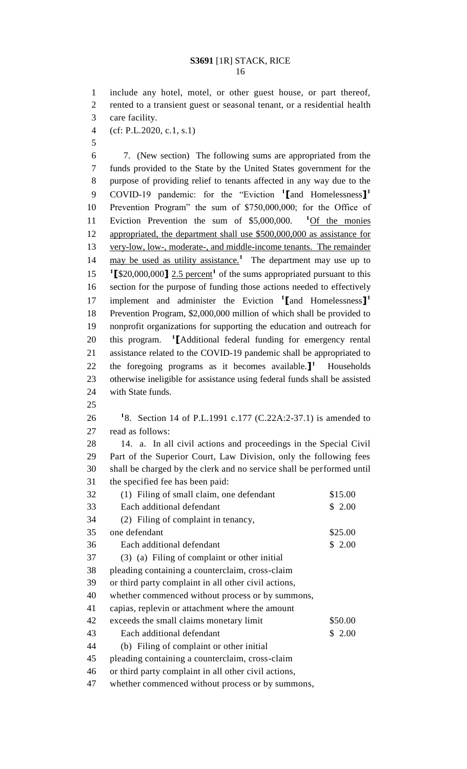include any hotel, motel, or other guest house, or part thereof, rented to a transient guest or seasonal tenant, or a residential health care facility.

- (cf: P.L.2020, c.1, s.1)
- 

 7. (New section) The following sums are appropriated from the funds provided to the State by the United States government for the purpose of providing relief to tenants affected in any way due to the COVID-19 pandemic: for the "Eviction **<sup>1</sup> [**and Homelessness**] 1** Prevention Program" the sum of \$750,000,000; for the Office of 11 Eviction Prevention the sum of \$5,000,000. <sup>1</sup>Of the monies appropriated, the department shall use \$500,000,000 as assistance for very-low, low-, moderate-, and middle-income tenants. The remainder 14 may be used as utility assistance.<sup>1</sup> The department may use up to  $\text{I}_{\text{I}}$  **[**\$20,000,000**]** 2.5 percent<sup>1</sup> of the sums appropriated pursuant to this section for the purpose of funding those actions needed to effectively implement and administer the Eviction **<sup>1</sup> [**and Homelessness**] 1** Prevention Program, \$2,000,000 million of which shall be provided to nonprofit organizations for supporting the education and outreach for 20 this program. **1** [Additional federal funding for emergency rental assistance related to the COVID-19 pandemic shall be appropriated to 22 the foregoing programs as it becomes available.<sup>1</sup> Households otherwise ineligible for assistance using federal funds shall be assisted with State funds. 8. Section 14 of P.L.1991 c.177 (C.22A:2-37.1) is amended to read as follows: 14. a. In all civil actions and proceedings in the Special Civil Part of the Superior Court, Law Division, only the following fees shall be charged by the clerk and no service shall be performed until the specified fee has been paid:

| 32 | (1) Filing of small claim, one defendant             | \$15.00 |
|----|------------------------------------------------------|---------|
| 33 | Each additional defendant                            | \$2.00  |
| 34 | (2) Filing of complaint in tenancy,                  |         |
| 35 | one defendant                                        | \$25.00 |
| 36 | Each additional defendant                            | \$2.00  |
| 37 | (3) (a) Filing of complaint or other initial         |         |
| 38 | pleading containing a counterclaim, cross-claim      |         |
| 39 | or third party complaint in all other civil actions, |         |
| 40 | whether commenced without process or by summons,     |         |
| 41 | capias, replevin or attachment where the amount      |         |
| 42 | exceeds the small claims monetary limit              | \$50.00 |
| 43 | Each additional defendant                            | \$2.00  |
| 44 | (b) Filing of complaint or other initial             |         |
| 45 | pleading containing a counterclaim, cross-claim      |         |
| 46 | or third party complaint in all other civil actions, |         |
| 47 | whether commenced without process or by summons,     |         |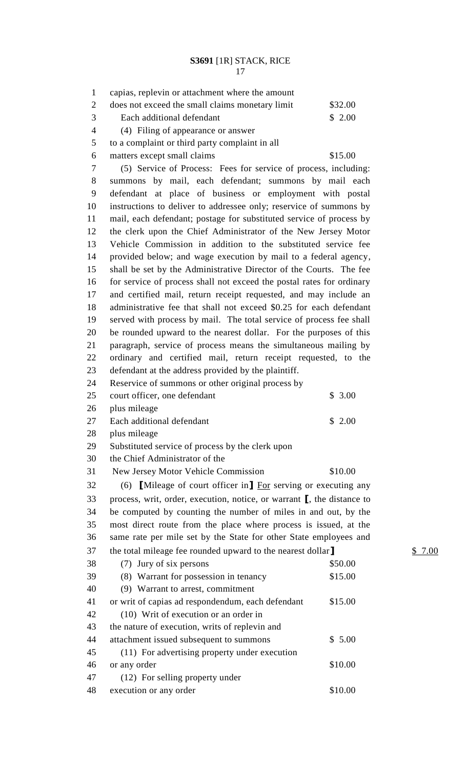| $\mathbf{1}$   | capias, replevin or attachment where the amount                                    |         |      |
|----------------|------------------------------------------------------------------------------------|---------|------|
| $\overline{2}$ | does not exceed the small claims monetary limit                                    | \$32.00 |      |
| 3              | Each additional defendant                                                          | \$2.00  |      |
| $\overline{4}$ | (4) Filing of appearance or answer                                                 |         |      |
| 5              | to a complaint or third party complaint in all                                     |         |      |
| 6              | matters except small claims                                                        | \$15.00 |      |
| $\tau$         | (5) Service of Process: Fees for service of process, including:                    |         |      |
| 8              | summons by mail, each defendant; summons by mail each                              |         |      |
| 9              | defendant at place of business or employment with postal                           |         |      |
| 10             | instructions to deliver to addressee only; reservice of summons by                 |         |      |
| 11             | mail, each defendant; postage for substituted service of process by                |         |      |
| 12             | the clerk upon the Chief Administrator of the New Jersey Motor                     |         |      |
| 13             | Vehicle Commission in addition to the substituted service fee                      |         |      |
| 14             | provided below; and wage execution by mail to a federal agency,                    |         |      |
| 15             | shall be set by the Administrative Director of the Courts. The fee                 |         |      |
| 16             | for service of process shall not exceed the postal rates for ordinary              |         |      |
| 17             | and certified mail, return receipt requested, and may include an                   |         |      |
| 18             | administrative fee that shall not exceed \$0.25 for each defendant                 |         |      |
| 19             | served with process by mail. The total service of process fee shall                |         |      |
| 20             | be rounded upward to the nearest dollar. For the purposes of this                  |         |      |
| 21             | paragraph, service of process means the simultaneous mailing by                    |         |      |
| 22             | ordinary and certified mail, return receipt requested, to the                      |         |      |
| 23             | defendant at the address provided by the plaintiff.                                |         |      |
| 24             | Reservice of summons or other original process by                                  |         |      |
| 25             | court officer, one defendant                                                       | \$3.00  |      |
| 26             | plus mileage                                                                       |         |      |
| 27             | Each additional defendant                                                          | \$2.00  |      |
| 28             | plus mileage                                                                       |         |      |
| 29             | Substituted service of process by the clerk upon                                   |         |      |
| 30             | the Chief Administrator of the                                                     |         |      |
| 31             | New Jersey Motor Vehicle Commission                                                | \$10.00 |      |
| 32             | (6) [Mileage of court officer in] $\overline{For}$ serving or executing any        |         |      |
| 33             | process, writ, order, execution, notice, or warrant $\mathbf{I}$ , the distance to |         |      |
| 34             | be computed by counting the number of miles in and out, by the                     |         |      |
| 35             | most direct route from the place where process is issued, at the                   |         |      |
| 36             | same rate per mile set by the State for other State employees and                  |         |      |
| 37             | the total mileage fee rounded upward to the nearest dollar                         |         | 7.00 |
| 38             | (7) Jury of six persons                                                            | \$50.00 |      |
| 39             | (8) Warrant for possession in tenancy                                              | \$15.00 |      |
| 40             | (9) Warrant to arrest, commitment                                                  |         |      |
| 41             | or writ of capias ad respondendum, each defendant                                  | \$15.00 |      |
| 42             | (10) Writ of execution or an order in                                              |         |      |
| 43             | the nature of execution, writs of replevin and                                     |         |      |
| 44             | attachment issued subsequent to summons                                            | \$5.00  |      |
| 45             | (11) For advertising property under execution                                      |         |      |
| 46             | or any order                                                                       | \$10.00 |      |
| 47             | (12) For selling property under                                                    |         |      |

48 execution or any order \$10.00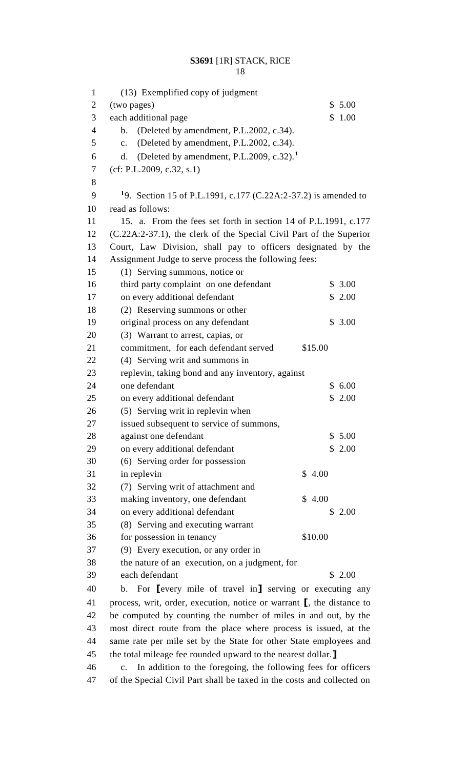| $\mathbf{1}$   | (13) Exemplified copy of judgment                                                              |  |
|----------------|------------------------------------------------------------------------------------------------|--|
| 2              | (two pages)<br>\$5.00                                                                          |  |
| 3              | each additional page<br>1.00<br>\$                                                             |  |
| $\overline{4}$ | (Deleted by amendment, P.L.2002, c.34).<br>b.                                                  |  |
| 5              | (Deleted by amendment, P.L.2002, c.34).<br>c.                                                  |  |
| 6              | (Deleted by amendment, P.L.2009, c.32). <sup>1</sup><br>d.                                     |  |
| 7              | (cf: P.L.2009, c.32, s.1)                                                                      |  |
| 8<br>9         |                                                                                                |  |
| 10             | <sup>1</sup> 9. Section 15 of P.L.1991, c.177 (C.22A:2-37.2) is amended to<br>read as follows: |  |
| 11             | 15. a. From the fees set forth in section 14 of P.L.1991, c.177                                |  |
| 12             | (C.22A:2-37.1), the clerk of the Special Civil Part of the Superior                            |  |
| 13             | Court, Law Division, shall pay to officers designated by the                                   |  |
| 14             | Assignment Judge to serve process the following fees:                                          |  |
| 15             | (1) Serving summons, notice or                                                                 |  |
| 16             | third party complaint on one defendant<br>\$3.00                                               |  |
| 17             | on every additional defendant<br>\$2.00                                                        |  |
| 18             | (2) Reserving summons or other                                                                 |  |
| 19             | original process on any defendant<br>\$3.00                                                    |  |
| 20             | (3) Warrant to arrest, capias, or                                                              |  |
| 21             | commitment, for each defendant served<br>\$15.00                                               |  |
| 22             | (4) Serving writ and summons in                                                                |  |
| 23             | replevin, taking bond and any inventory, against                                               |  |
| 24             | one defendant<br>\$6.00                                                                        |  |
| 25             | on every additional defendant<br>\$2.00                                                        |  |
| 26             | (5) Serving writ in replevin when                                                              |  |
| 27             | issued subsequent to service of summons,                                                       |  |
| 28             | against one defendant<br>\$5.00                                                                |  |
| 29             | on every additional defendant<br>\$2.00                                                        |  |
| 30             | (6) Serving order for possession                                                               |  |
| 31             | \$4.00<br>in replevin                                                                          |  |
| 32             | (7) Serving writ of attachment and                                                             |  |
| 33             | \$4.00<br>making inventory, one defendant                                                      |  |
| 34             | on every additional defendant<br>\$2.00                                                        |  |
| 35             | (8) Serving and executing warrant                                                              |  |
| 36             | for possession in tenancy<br>\$10.00                                                           |  |
| 37             | (9) Every execution, or any order in                                                           |  |
| 38             | the nature of an execution, on a judgment, for                                                 |  |
| 39             | each defendant<br>\$2.00                                                                       |  |
| 40             | For levery mile of travel in] serving or executing any<br>$\mathbf{b}$ .                       |  |

 process, writ, order, execution, notice or warrant **[**, the distance to be computed by counting the number of miles in and out, by the most direct route from the place where process is issued, at the same rate per mile set by the State for other State employees and the total mileage fee rounded upward to the nearest dollar.**]** \$ 7.00

 c. In addition to the foregoing, the following fees for officers of the Special Civil Part shall be taxed in the costs and collected on